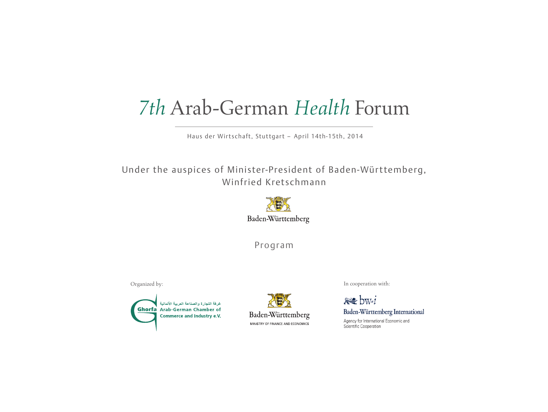# *7th* Arab-German *Health* Forum

Haus der Wirtschaft, Stuttgart - April 14th-15th, 2014

### Under the auspices of Minister-President of Baden-Württemberg, Winfried Kretschmann



Program





Organized by: In cooperation with:

 $\approx$  bw-i Baden-Württemberg International Agency for International Economic and Scientific Cooperation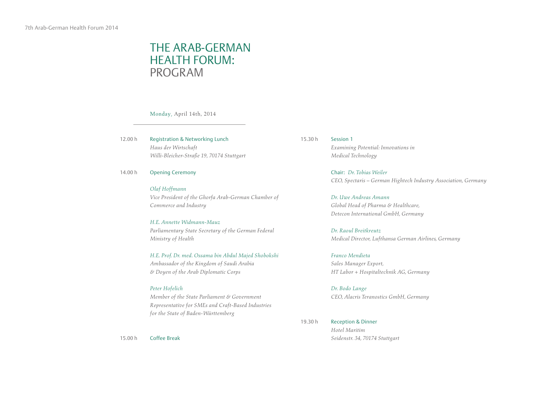## THE ARAB-GERMAN HEALTH FORUM: PROGRAM

#### Monday, April 14th, 2014

Registration & Networking Lunch *Haus der Wirtschaft Willi-Bleicher-Straße 19, 70174 Stuttgart* 12.00 h

#### Opening Ceremony 14.00 h

### *Olaf Hoffmann*

*Vice President of the Ghorfa Arab-German Chamber of Commerce and Industry*

### *H.E. Annette Widmann-Mauz*

*Parliamentary State Secretary of the German Federal Ministry of Health*

*H.E. Prof. Dr. med. Ossama bin Abdul Majed Shobokshi Ambassador of the Kingdom of Saudi Arabia & Doyen of the Arab Diplomatic Corps*

#### *Peter Hofelich*

*Member of the State Parliament & Government Representative for SMEs and Craft-Based Industries for the State of Baden-Württemberg*

Coffee Break 15.00 h

Session 1 *Examining Potential: Innovations in Medical Technology* 15.30 h

> Chair: *Dr. Tobias Weiler CEO, Spectaris – German Hightech Industry Association, Germany*

*Dr. Uwe Andreas Amann Global Head of Pharma & Healthcare, Detecon International GmbH, Germany*

*Dr. Raoul Breitkreutz Medical Director, Lufthansa German Airlines, Germany*

*Franco Mendieta Sales Manager Export, HT Labor + Hospitaltechnik AG, Germany*

*Dr. Bodo Lange CEO, Alacris Teranostics GmbH, Germany*

19.30 h

Reception & Dinner *Hotel Maritim Seidenstr. 34, 70174 Stuttgart*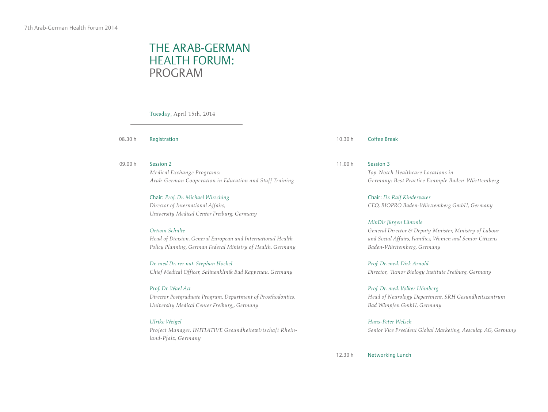### THE ARAB-GERMAN HEALTH FORUM: PROGRAM

#### Tuesday, April 15th, 2014

Registration 08.30 h

- Session 2 09.00 h
	- *Medical Exchange Programs: Arab-German Cooperation in Education and Staff Training*

#### Chair: *Prof. Dr. Michael Wirsching*

*Director of International Affairs, University Medical Center Freiburg, Germany*

#### *Ortwin Schulte*

*Head of Division, General European and International Health Policy Planning, German Federal Ministry of Health, Germany*

*Dr. med Dr. rer nat. Stephan Höckel Chief Medical Officer, Salinenklinik Bad Rappenau, Germany*

#### *Prof. Dr. Wael Att*

*Director Postgraduate Program, Department of Prosthodontics, University Medical Center Freiburg,, Germany* 

#### *Ulrike Weigel*

*Project Manager, INITIATIVE Gesundheitswirtschaft Rheinland-Pfalz, Germany*

- Coffee Break 10.30 h
- Session 3 *Top-Notch Healthcare Locations in Germany: Best Practice Example Baden-Württemberg* 11.00 h

Chair: *Dr. Ralf Kindervater CEO, BIOPRO Baden-Württemberg GmbH, Germany*

### *MinDir Jürgen Lämmle*

*General Director & Deputy Minister, Ministry of Labour and Social Affairs, Families, Women and Senior Citizens Baden-Württemberg, Germany*

*Prof. Dr. med. Dirk Arnold Director, Tumor Biology Institute Freiburg, Germany*

*Prof. Dr. med. Volker Hömberg Head of Neurology Department, SRH Gesundheitszentrum Bad Wimpfen GmbH, Germany* 

*Hans-Peter Welsch Senior Vice President Global Marketing, Aesculap AG, Germany*

Networking Lunch 12.30 h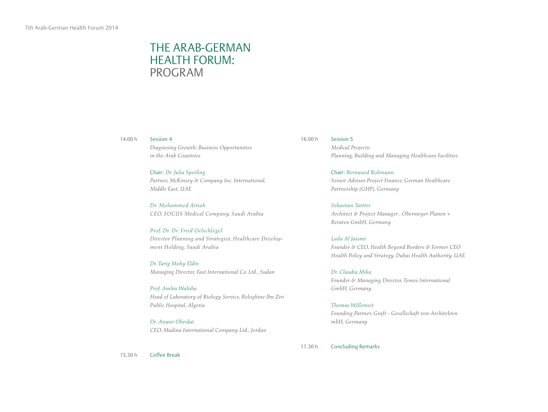## THE ARAB-GERMAN HEALTH FORUM: PROGRAM

#### Session 4 14.00 h

*Diagnosing Growth: Business Opportunities in the Arab Countries*

Chair: *Dr. Julia Sperling Partner, McKinsey & Company Inc. International, Middle East, UAE*

*Dr. Mohammed Attiah CEO, FOCUS Medical Company, Saudi Arabia*

*Prof. Dr. Dr. Fried Oelschlegel Director Planning and Strategies, Healthcare Development Holding, Saudi Arabia*

*Dr. Tarig Mohy Eldin Managing Director, Fast International Co. Ltd., Sudan*

*Prof. Amhis Wahiba*

*Head of Laboratory of Biology Service, Bologhine Ibn Ziri Public Hospital, Algeria*

*Dr. Anwar Obeidat CEO, Madina International Company Ltd., Jordan*

Coffee Break 15.30 h

#### Session 5 16.00 h

*Medical Projects: Planning, Building and Managing Healthcare Facilities*

Chair: *Bernward Rohmann Senior Advisor Project Finance, German Healthcare Partnership (GHP), Germany*

*Sebastian Tartter Architect & Project Manager , Obermeyer Planen + Beraten GmbH, Germany*

*Laila Al Jassmi Founder & CEO, Health Beyond Borders & Former CEO Health Policy and Strategy, Dubai Health Authority, UAE*

*Dr. Claudia Mika Founder & Managing Director, Temos International GmbH, Germany*

*Thomas Willemeit Founding Partner, Graft - Gesellschaft von Architekten mbH, Germany*

Concluding Remarks 17.30 h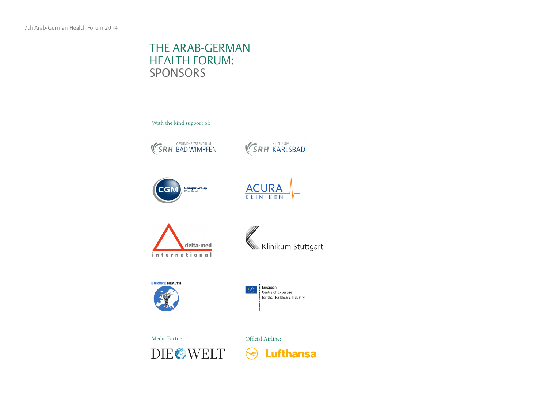# THE ARAB-GERMAN HEALTH FORUM: SPONSORS

With the kind support of:



















**DIESWELT** 

**Lufthansa**  $\leftarrow$